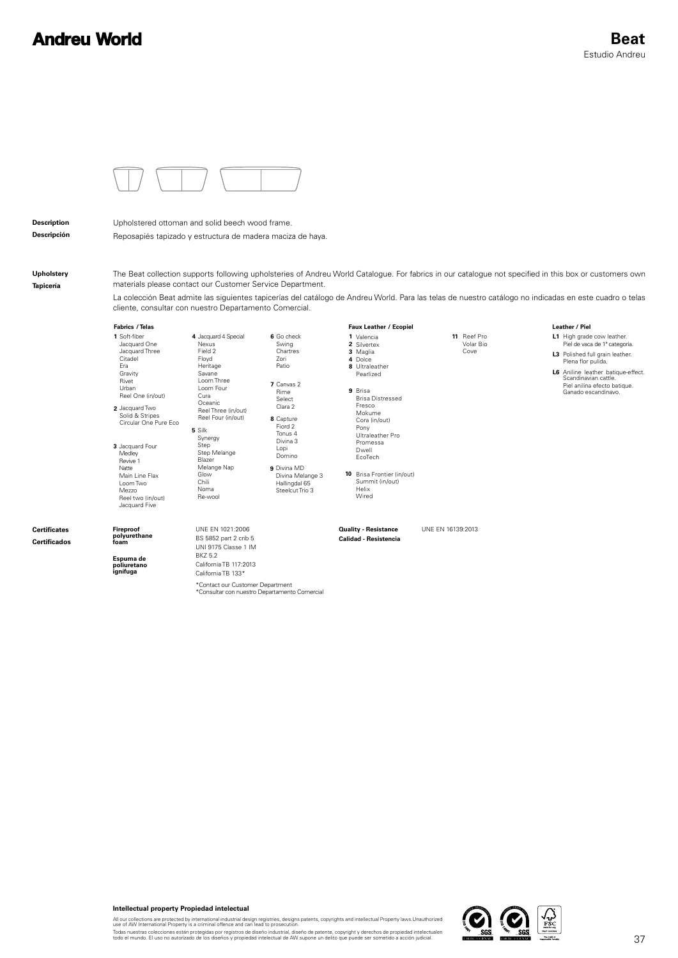## **Andreu World**



**Description Descripción** Upholstered ottoman and solid beech wood frame. Reposapiés tapizado y estructura de madera maciza de haya.

**Upholstery Tapicería**

The Beat collection supports following upholsteries of Andreu World Catalogue. For fabrics in our catalogue not specified in this box or customers own materials please contact our Customer Service Department.

La colección Beat admite las siguientes tapicerías del catálogo de Andreu World. Para las telas de nuestro catálogo no indicadas en este cuadro o telas cliente, consultar con nuestro Departamento Comercial.

**Faux Leather** / Ecopiel

**1** Soft-fiber **5** Silk **3** Jacquard Four Medley Revive 1 **4** Jacquard 4 Special **2** Jacquard Two Jacquard One Jacquard Three Citadel Era **Gravity** Rivet Urban Reel One (in/out) Synergy Step Step Melange Blazer Melange Nap Glow Chili Noma Re-wool Natte Main Line Flax Loom Two Mezzo Reel two (in/out) Jacquard Five Nexus Field 2 Floyd Heritage Savane Loom Three Loom Four Cura Oceanic Solid & Stripes Circular One Pure Eco **Fabrics** / Telas

**8** Capture **6** Go check **7** Canvas 2 Fiord 2 Tonus 4 Divina 3 Lopi Domino Swing Chartres Zori Patio Rime Select Clara 2 Reel Three (in/out) Reel Four (in/out)

Valencia **1** 2 Silvertex<br>3 Maglia Dolce **4 8** Ultraleather Pearlized **9** Brisa Brisa Distressed Fresco Mokume Cora (in/out) Pony Ultraleather Pro Promessa Dwell EcoTech

**10** Brisa Frontier (in/out) Summit (in/out) **9** Divina MD Divina Melange 3 Hallingdal 65 Steelcut Trio 3 Helix Wired

UNE EN 1021:2006 UNE EN 16139:2013

**Calidad - Resistencia**

**Quality - Resistance**

**11** Reef Pro Volar Bio Cove

## Leather / Piel

- **L1** High grade cow leather. **L3** Polished full grain leather. Piel de vaca de 1ª categoría. Plena flor pulida.
- **L6** Aniline leather batique-effect. Scandinavian cattle. Piel anilina efecto batique. Ganado escandinavo.

## **Certificates Certificados**

**Espuma de poliuretano ignífuga**

**Fireproof polyurethane foam**

California TB 117:2013 California TB 133\* \*Contact our Customer Department<br>\*Consultar con nuestro Departamento Comercial

BS 5852 part 2 crib 5 UNI 9175 Classe 1 IM BKZ 5.2



All our collections are protected by international industrial design registries, designs patents, copyrights and intellectual Property laws.Unauthorized<br>use of AW International Property is a criminal offence and can lead t

Todas nuestras colecciones están protegidas por registros de diseño industrial, diseño de patente, copyright y derechos de propiedad intelectualen<br>todo el mundo. El uso no autorizado de los diseños y propiedad intelectual